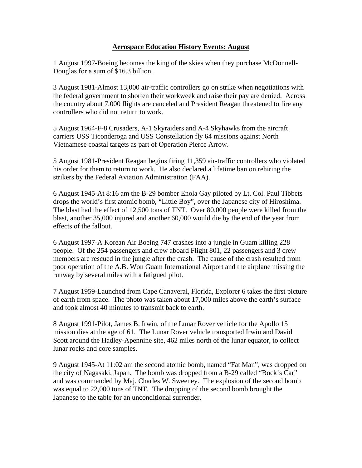## **Aerospace Education History Events: August**

1 August 1997-Boeing becomes the king of the skies when they purchase McDonnell-Douglas for a sum of \$16.3 billion.

3 August 1981-Almost 13,000 air-traffic controllers go on strike when negotiations with the federal government to shorten their workweek and raise their pay are denied. Across the country about 7,000 flights are canceled and President Reagan threatened to fire any controllers who did not return to work.

5 August 1964-F-8 Crusaders, A-1 Skyraiders and A-4 Skyhawks from the aircraft carriers USS Ticonderoga and USS Constellation fly 64 missions against North Vietnamese coastal targets as part of Operation Pierce Arrow.

5 August 1981-President Reagan begins firing 11,359 air-traffic controllers who violated his order for them to return to work. He also declared a lifetime ban on rehiring the strikers by the Federal Aviation Administration (FAA).

6 August 1945-At 8:16 am the B-29 bomber Enola Gay piloted by Lt. Col. Paul Tibbets drops the world's first atomic bomb, "Little Boy", over the Japanese city of Hiroshima. The blast had the effect of 12,500 tons of TNT. Over 80,000 people were killed from the blast, another 35,000 injured and another 60,000 would die by the end of the year from effects of the fallout.

6 August 1997-A Korean Air Boeing 747 crashes into a jungle in Guam killing 228 people. Of the 254 passengers and crew aboard Flight 801, 22 passengers and 3 crew members are rescued in the jungle after the crash. The cause of the crash resulted from poor operation of the A.B. Won Guam International Airport and the airplane missing the runway by several miles with a fatigued pilot.

7 August 1959-Launched from Cape Canaveral, Florida, Explorer 6 takes the first picture of earth from space. The photo was taken about 17,000 miles above the earth's surface and took almost 40 minutes to transmit back to earth.

8 August 1991-Pilot, James B. Irwin, of the Lunar Rover vehicle for the Apollo 15 mission dies at the age of 61. The Lunar Rover vehicle transported Irwin and David Scott around the Hadley-Apennine site, 462 miles north of the lunar equator, to collect lunar rocks and core samples.

9 August 1945-At 11:02 am the second atomic bomb, named "Fat Man", was dropped on the city of Nagasaki, Japan. The bomb was dropped from a B-29 called "Bock's Car" and was commanded by Maj. Charles W. Sweeney. The explosion of the second bomb was equal to 22,000 tons of TNT. The dropping of the second bomb brought the Japanese to the table for an unconditional surrender.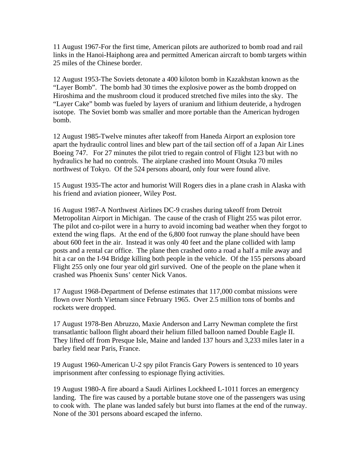11 August 1967-For the first time, American pilots are authorized to bomb road and rail links in the Hanoi-Haiphong area and permitted American aircraft to bomb targets within 25 miles of the Chinese border.

12 August 1953-The Soviets detonate a 400 kiloton bomb in Kazakhstan known as the "Layer Bomb". The bomb had 30 times the explosive power as the bomb dropped on Hiroshima and the mushroom cloud it produced stretched five miles into the sky. The "Layer Cake" bomb was fueled by layers of uranium and lithium deuteride, a hydrogen isotope. The Soviet bomb was smaller and more portable than the American hydrogen bomb.

12 August 1985-Twelve minutes after takeoff from Haneda Airport an explosion tore apart the hydraulic control lines and blew part of the tail section off of a Japan Air Lines Boeing 747. For 27 minutes the pilot tried to regain control of Flight 123 but with no hydraulics he had no controls. The airplane crashed into Mount Otsuka 70 miles northwest of Tokyo. Of the 524 persons aboard, only four were found alive.

15 August 1935-The actor and humorist Will Rogers dies in a plane crash in Alaska with his friend and aviation pioneer, Wiley Post.

16 August 1987-A Northwest Airlines DC-9 crashes during takeoff from Detroit Metropolitan Airport in Michigan. The cause of the crash of Flight 255 was pilot error. The pilot and co-pilot were in a hurry to avoid incoming bad weather when they forgot to extend the wing flaps. At the end of the 6,800 foot runway the plane should have been about 600 feet in the air. Instead it was only 40 feet and the plane collided with lamp posts and a rental car office. The plane then crashed onto a road a half a mile away and hit a car on the I-94 Bridge killing both people in the vehicle. Of the 155 persons aboard Flight 255 only one four year old girl survived. One of the people on the plane when it crashed was Phoenix Suns' center Nick Vanos.

17 August 1968-Department of Defense estimates that 117,000 combat missions were flown over North Vietnam since February 1965. Over 2.5 million tons of bombs and rockets were dropped.

17 August 1978-Ben Abruzzo, Maxie Anderson and Larry Newman complete the first transatlantic balloon flight aboard their helium filled balloon named Double Eagle II. They lifted off from Presque Isle, Maine and landed 137 hours and 3,233 miles later in a barley field near Paris, France.

19 August 1960-American U-2 spy pilot Francis Gary Powers is sentenced to 10 years imprisonment after confessing to espionage flying activities.

19 August 1980-A fire aboard a Saudi Airlines Lockheed L-1011 forces an emergency landing. The fire was caused by a portable butane stove one of the passengers was using to cook with. The plane was landed safely but burst into flames at the end of the runway. None of the 301 persons aboard escaped the inferno.